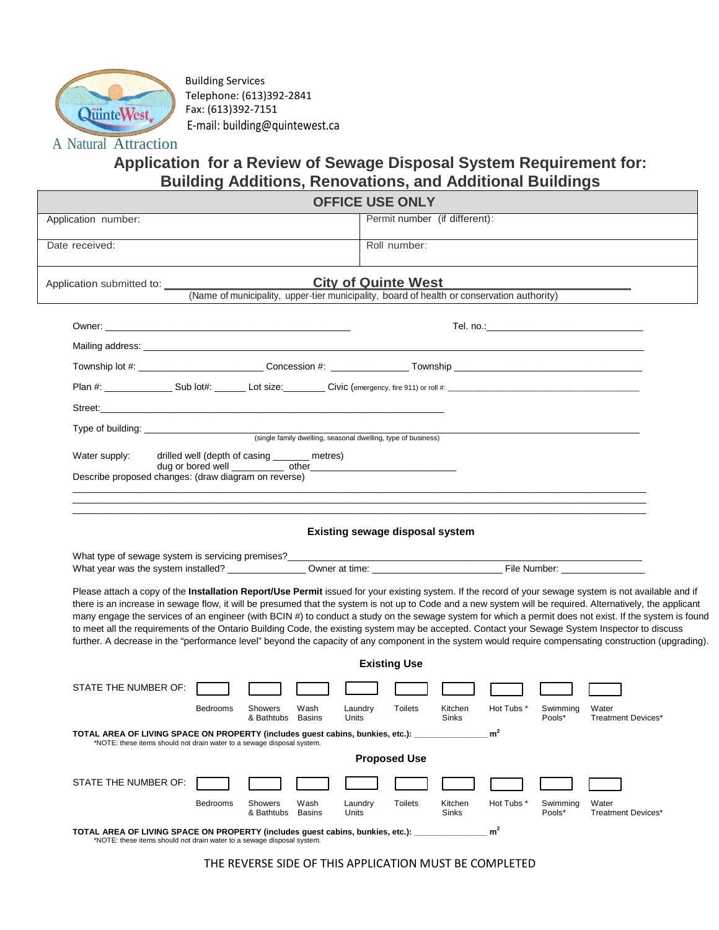

Building Services Telephone: (613)392-2841 Fax: (613)392-7151 E-mail: building@quintewest.ca

## A Natural Attraction

## **Application for a Review of Sewage Disposal System Requirement for: Building Additions, Renovations, and Additional Buildings**

| <b>OFFICE USE ONLY</b>                                                                                                                                                                                                                                                                                                                                                                                                                                                                                                                                                                                                                                                                                                                                                                        |                                        |                                |                    |                             |  |
|-----------------------------------------------------------------------------------------------------------------------------------------------------------------------------------------------------------------------------------------------------------------------------------------------------------------------------------------------------------------------------------------------------------------------------------------------------------------------------------------------------------------------------------------------------------------------------------------------------------------------------------------------------------------------------------------------------------------------------------------------------------------------------------------------|----------------------------------------|--------------------------------|--------------------|-----------------------------|--|
| Application number:                                                                                                                                                                                                                                                                                                                                                                                                                                                                                                                                                                                                                                                                                                                                                                           |                                        | Permit number (if different):  |                    |                             |  |
| Date received:                                                                                                                                                                                                                                                                                                                                                                                                                                                                                                                                                                                                                                                                                                                                                                                | Roll number:                           |                                |                    |                             |  |
| Application submitted to:<br>(Name of municipality, upper-tier municipality, board of health or conservation authority)                                                                                                                                                                                                                                                                                                                                                                                                                                                                                                                                                                                                                                                                       | <b>City of Quinte West</b>             |                                |                    |                             |  |
|                                                                                                                                                                                                                                                                                                                                                                                                                                                                                                                                                                                                                                                                                                                                                                                               |                                        |                                |                    |                             |  |
|                                                                                                                                                                                                                                                                                                                                                                                                                                                                                                                                                                                                                                                                                                                                                                                               |                                        |                                |                    |                             |  |
|                                                                                                                                                                                                                                                                                                                                                                                                                                                                                                                                                                                                                                                                                                                                                                                               |                                        |                                |                    |                             |  |
|                                                                                                                                                                                                                                                                                                                                                                                                                                                                                                                                                                                                                                                                                                                                                                                               |                                        |                                |                    |                             |  |
|                                                                                                                                                                                                                                                                                                                                                                                                                                                                                                                                                                                                                                                                                                                                                                                               |                                        |                                |                    |                             |  |
|                                                                                                                                                                                                                                                                                                                                                                                                                                                                                                                                                                                                                                                                                                                                                                                               |                                        |                                |                    |                             |  |
| Water supply:<br>drilled well (depth of casing ______ metres)                                                                                                                                                                                                                                                                                                                                                                                                                                                                                                                                                                                                                                                                                                                                 |                                        |                                |                    |                             |  |
| Describe proposed changes: (draw diagram on reverse)                                                                                                                                                                                                                                                                                                                                                                                                                                                                                                                                                                                                                                                                                                                                          |                                        |                                |                    |                             |  |
|                                                                                                                                                                                                                                                                                                                                                                                                                                                                                                                                                                                                                                                                                                                                                                                               |                                        |                                |                    |                             |  |
|                                                                                                                                                                                                                                                                                                                                                                                                                                                                                                                                                                                                                                                                                                                                                                                               | <b>Existing sewage disposal system</b> |                                |                    |                             |  |
| Please attach a copy of the Installation Report/Use Permit issued for your existing system. If the record of your sewage system is not available and if<br>there is an increase in sewage flow, it will be presumed that the system is not up to Code and a new system will be required. Alternatively, the applicant<br>many engage the services of an engineer (with BCIN #) to conduct a study on the sewage system for which a permit does not exist. If the system is found<br>to meet all the requirements of the Ontario Building Code, the existing system may be accepted. Contact your Sewage System Inspector to discuss<br>further. A decrease in the "performance level" beyond the capacity of any component in the system would require compensating construction (upgrading). |                                        |                                |                    |                             |  |
|                                                                                                                                                                                                                                                                                                                                                                                                                                                                                                                                                                                                                                                                                                                                                                                               | <b>Existing Use</b>                    |                                |                    |                             |  |
| STATE THE NUMBER OF:                                                                                                                                                                                                                                                                                                                                                                                                                                                                                                                                                                                                                                                                                                                                                                          |                                        |                                |                    |                             |  |
| <b>Bedrooms</b><br>Showers<br>Wash<br>& Bathtubs<br><b>Basins</b>                                                                                                                                                                                                                                                                                                                                                                                                                                                                                                                                                                                                                                                                                                                             | Laundry<br><b>Toilets</b><br>Units     | Kitchen<br>Hot Tubs *<br>Sinks | Swimming<br>Pools* | Water<br>Treatment Devices* |  |
| TOTAL AREA OF LIVING SPACE ON PROPERTY (includes guest cabins, bunkies, etc.): _____________                                                                                                                                                                                                                                                                                                                                                                                                                                                                                                                                                                                                                                                                                                  |                                        |                                |                    |                             |  |
| *NOTE: these items should not drain water to a sewage disposal system.                                                                                                                                                                                                                                                                                                                                                                                                                                                                                                                                                                                                                                                                                                                        | <b>Proposed Use</b>                    |                                |                    |                             |  |
| STATE THE NUMBER OF:                                                                                                                                                                                                                                                                                                                                                                                                                                                                                                                                                                                                                                                                                                                                                                          |                                        |                                |                    |                             |  |
| Bedrooms<br>Showers<br>Wash<br>& Bathtubs<br><b>Basins</b>                                                                                                                                                                                                                                                                                                                                                                                                                                                                                                                                                                                                                                                                                                                                    | <b>Toilets</b><br>Laundry<br>Units     | Kitchen<br>Hot Tubs *<br>Sinks | Swimming<br>Pools* | Water<br>Treatment Devices* |  |
| TOTAL AREA OF LIVING SPACE ON PROPERTY (includes guest cabins, bunkies, etc.): _________<br>*NOTE: these items should not drain water to a sewage disposal system.                                                                                                                                                                                                                                                                                                                                                                                                                                                                                                                                                                                                                            |                                        | m <sup>2</sup>                 |                    |                             |  |